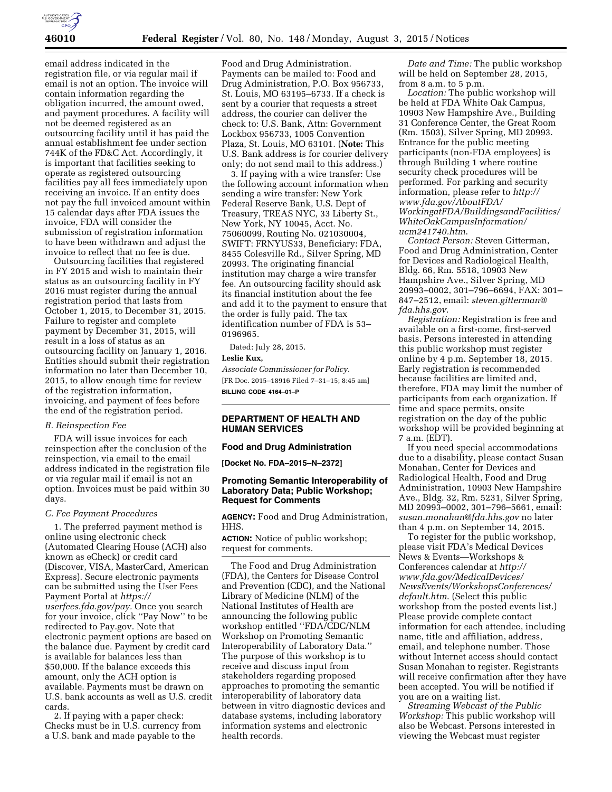

email address indicated in the registration file, or via regular mail if email is not an option. The invoice will contain information regarding the obligation incurred, the amount owed, and payment procedures. A facility will not be deemed registered as an outsourcing facility until it has paid the annual establishment fee under section 744K of the FD&C Act. Accordingly, it is important that facilities seeking to operate as registered outsourcing facilities pay all fees immediately upon receiving an invoice. If an entity does not pay the full invoiced amount within 15 calendar days after FDA issues the invoice, FDA will consider the submission of registration information to have been withdrawn and adjust the invoice to reflect that no fee is due.

Outsourcing facilities that registered in FY 2015 and wish to maintain their status as an outsourcing facility in FY 2016 must register during the annual registration period that lasts from October 1, 2015, to December 31, 2015. Failure to register and complete payment by December 31, 2015, will result in a loss of status as an outsourcing facility on January 1, 2016. Entities should submit their registration information no later than December 10, 2015, to allow enough time for review of the registration information, invoicing, and payment of fees before the end of the registration period.

## *B. Reinspection Fee*

FDA will issue invoices for each reinspection after the conclusion of the reinspection, via email to the email address indicated in the registration file or via regular mail if email is not an option. Invoices must be paid within 30 days.

#### *C. Fee Payment Procedures*

1. The preferred payment method is online using electronic check (Automated Clearing House (ACH) also known as eCheck) or credit card (Discover, VISA, MasterCard, American Express). Secure electronic payments can be submitted using the User Fees Payment Portal at *[https://](https://userfees.fda.gov/pay) [userfees.fda.gov/pay.](https://userfees.fda.gov/pay)* Once you search for your invoice, click ''Pay Now'' to be redirected to Pay.gov. Note that electronic payment options are based on the balance due. Payment by credit card is available for balances less than \$50,000. If the balance exceeds this amount, only the ACH option is available. Payments must be drawn on U.S. bank accounts as well as U.S. credit cards.

2. If paying with a paper check: Checks must be in U.S. currency from a U.S. bank and made payable to the

Food and Drug Administration. Payments can be mailed to: Food and Drug Administration, P.O. Box 956733, St. Louis, MO 63195–6733. If a check is sent by a courier that requests a street address, the courier can deliver the check to: U.S. Bank, Attn: Government Lockbox 956733, 1005 Convention Plaza, St. Louis, MO 63101. (**Note:** This U.S. Bank address is for courier delivery only; do not send mail to this address.)

3. If paying with a wire transfer: Use the following account information when sending a wire transfer: New York Federal Reserve Bank, U.S. Dept of Treasury, TREAS NYC, 33 Liberty St., New York, NY 10045, Acct. No. 75060099, Routing No. 021030004, SWIFT: FRNYUS33, Beneficiary: FDA, 8455 Colesville Rd., Silver Spring, MD 20993. The originating financial institution may charge a wire transfer fee. An outsourcing facility should ask its financial institution about the fee and add it to the payment to ensure that the order is fully paid. The tax identification number of FDA is 53– 0196965.

Dated: July 28, 2015.

**Leslie Kux,**  *Associate Commissioner for Policy.* 

[FR Doc. 2015–18916 Filed 7–31–15; 8:45 am] **BILLING CODE 4164–01–P** 

### **DEPARTMENT OF HEALTH AND HUMAN SERVICES**

#### **Food and Drug Administration**

**[Docket No. FDA–2015–N–2372]** 

## **Promoting Semantic Interoperability of Laboratory Data; Public Workshop; Request for Comments**

**AGENCY:** Food and Drug Administration, HHS.

**ACTION:** Notice of public workshop; request for comments.

The Food and Drug Administration (FDA), the Centers for Disease Control and Prevention (CDC), and the National Library of Medicine (NLM) of the National Institutes of Health are announcing the following public workshop entitled ''FDA/CDC/NLM Workshop on Promoting Semantic Interoperability of Laboratory Data.'' The purpose of this workshop is to receive and discuss input from stakeholders regarding proposed approaches to promoting the semantic interoperability of laboratory data between in vitro diagnostic devices and database systems, including laboratory information systems and electronic health records.

*Date and Time:* The public workshop will be held on September 28, 2015, from 8 a.m. to 5 p.m.

*Location:* The public workshop will be held at FDA White Oak Campus, 10903 New Hampshire Ave., Building 31 Conference Center, the Great Room (Rm. 1503), Silver Spring, MD 20993. Entrance for the public meeting participants (non-FDA employees) is through Building 1 where routine security check procedures will be performed. For parking and security information, please refer to *[http://](http://www.fda.gov/AboutFDA/WorkingatFDA/BuildingsandFacilities/WhiteOakCampusInformation/ucm241740.htm) [www.fda.gov/AboutFDA/](http://www.fda.gov/AboutFDA/WorkingatFDA/BuildingsandFacilities/WhiteOakCampusInformation/ucm241740.htm) [WorkingatFDA/BuildingsandFacilities/](http://www.fda.gov/AboutFDA/WorkingatFDA/BuildingsandFacilities/WhiteOakCampusInformation/ucm241740.htm) [WhiteOakCampusInformation/](http://www.fda.gov/AboutFDA/WorkingatFDA/BuildingsandFacilities/WhiteOakCampusInformation/ucm241740.htm) [ucm241740.htm](http://www.fda.gov/AboutFDA/WorkingatFDA/BuildingsandFacilities/WhiteOakCampusInformation/ucm241740.htm)*.

*Contact Person:* Steven Gitterman, Food and Drug Administration, Center for Devices and Radiological Health, Bldg. 66, Rm. 5518, 10903 New Hampshire Ave., Silver Spring, MD 20993–0002, 301–796–6694, FAX: 301– 847–2512, email: *[steven.gitterman@](mailto:steven.gitterman@fda.hhs.gov) [fda.hhs.gov](mailto:steven.gitterman@fda.hhs.gov)*.

*Registration:* Registration is free and available on a first-come, first-served basis. Persons interested in attending this public workshop must register online by 4 p.m. September 18, 2015. Early registration is recommended because facilities are limited and, therefore, FDA may limit the number of participants from each organization. If time and space permits, onsite registration on the day of the public workshop will be provided beginning at 7 a.m. (EDT).

If you need special accommodations due to a disability, please contact Susan Monahan, Center for Devices and Radiological Health, Food and Drug Administration, 10903 New Hampshire Ave., Bldg. 32, Rm. 5231, Silver Spring, MD 20993–0002, 301–796–5661, email: *[susan.monahan@fda.hhs.gov](mailto:susan.monahan@fda.hhs.gov)* no later than 4 p.m. on September 14, 2015.

To register for the public workshop, please visit FDA's Medical Devices News & Events—Workshops & Conferences calendar at *[http://](http://www.fda.gov/MedicalDevices/NewsEvents/WorkshopsConferences/default.htm) [www.fda.gov/MedicalDevices/](http://www.fda.gov/MedicalDevices/NewsEvents/WorkshopsConferences/default.htm) [NewsEvents/WorkshopsConferences/](http://www.fda.gov/MedicalDevices/NewsEvents/WorkshopsConferences/default.htm) [default.htm](http://www.fda.gov/MedicalDevices/NewsEvents/WorkshopsConferences/default.htm)*. (Select this public workshop from the posted events list.) Please provide complete contact information for each attendee, including name, title and affiliation, address, email, and telephone number. Those without Internet access should contact Susan Monahan to register. Registrants will receive confirmation after they have been accepted. You will be notified if you are on a waiting list.

*Streaming Webcast of the Public Workshop:* This public workshop will also be Webcast. Persons interested in viewing the Webcast must register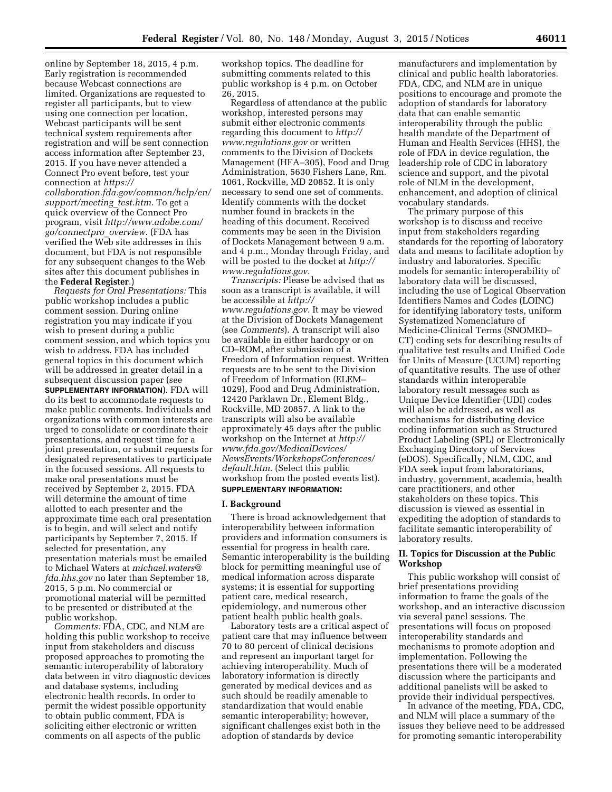online by September 18, 2015, 4 p.m. Early registration is recommended because Webcast connections are limited. Organizations are requested to register all participants, but to view using one connection per location. Webcast participants will be sent technical system requirements after registration and will be sent connection access information after September 23, 2015. If you have never attended a Connect Pro event before, test your connection at *[https://](https://collaboration.fda.gov/common/help/en/support/meeting_test.htm)*

*[collaboration.fda.gov/common/help/en/](https://collaboration.fda.gov/common/help/en/support/meeting_test.htm) [support/meeting](https://collaboration.fda.gov/common/help/en/support/meeting_test.htm)*\_*test.htm*. To get a quick overview of the Connect Pro program, visit *[http://www.adobe.com/](http://www.adobe.com/go/connectpro_overview) [go/connectpro](http://www.adobe.com/go/connectpro_overview)*\_*overview*. (FDA has verified the Web site addresses in this document, but FDA is not responsible for any subsequent changes to the Web sites after this document publishes in the **Federal Register**.)

*Requests for Oral Presentations:* This public workshop includes a public comment session. During online registration you may indicate if you wish to present during a public comment session, and which topics you wish to address. FDA has included general topics in this document which will be addressed in greater detail in a subsequent discussion paper (see **SUPPLEMENTARY INFORMATION**). FDA will do its best to accommodate requests to make public comments. Individuals and organizations with common interests are urged to consolidate or coordinate their presentations, and request time for a joint presentation, or submit requests for designated representatives to participate in the focused sessions. All requests to make oral presentations must be received by September 2, 2015. FDA will determine the amount of time allotted to each presenter and the approximate time each oral presentation is to begin, and will select and notify participants by September 7, 2015. If selected for presentation, any presentation materials must be emailed to Michael Waters at *[michael.waters@](mailto:michael.waters@fda.hhs.gov) [fda.hhs.gov](mailto:michael.waters@fda.hhs.gov)* no later than September 18, 2015, 5 p.m. No commercial or promotional material will be permitted to be presented or distributed at the public workshop.

*Comments:* FDA, CDC, and NLM are holding this public workshop to receive input from stakeholders and discuss proposed approaches to promoting the semantic interoperability of laboratory data between in vitro diagnostic devices and database systems, including electronic health records. In order to permit the widest possible opportunity to obtain public comment, FDA is soliciting either electronic or written comments on all aspects of the public

workshop topics. The deadline for submitting comments related to this public workshop is 4 p.m. on October 26, 2015.

Regardless of attendance at the public workshop, interested persons may submit either electronic comments regarding this document to *[http://](http://www.regulations.gov) [www.regulations.gov](http://www.regulations.gov)* or written comments to the Division of Dockets Management (HFA–305), Food and Drug Administration, 5630 Fishers Lane, Rm. 1061, Rockville, MD 20852. It is only necessary to send one set of comments. Identify comments with the docket number found in brackets in the heading of this document. Received comments may be seen in the Division of Dockets Management between 9 a.m. and 4 p.m., Monday through Friday, and will be posted to the docket at *[http://](http://www.regulations.gov) [www.regulations.gov](http://www.regulations.gov)*.

*Transcripts:* Please be advised that as soon as a transcript is available, it will be accessible at *[http://](http://www.regulations.gov) [www.regulations.gov](http://www.regulations.gov)*. It may be viewed at the Division of Dockets Management (see *Comments*). A transcript will also be available in either hardcopy or on CD–ROM, after submission of a Freedom of Information request. Written requests are to be sent to the Division of Freedom of Information (ELEM– 1029), Food and Drug Administration, 12420 Parklawn Dr., Element Bldg., Rockville, MD 20857. A link to the transcripts will also be available approximately 45 days after the public workshop on the Internet at *[http://](http://www.fda.gov/MedicalDevices/NewsEvents/WorkshopsConferences/default.htm) [www.fda.gov/MedicalDevices/](http://www.fda.gov/MedicalDevices/NewsEvents/WorkshopsConferences/default.htm) [NewsEvents/WorkshopsConferences/](http://www.fda.gov/MedicalDevices/NewsEvents/WorkshopsConferences/default.htm) [default.htm](http://www.fda.gov/MedicalDevices/NewsEvents/WorkshopsConferences/default.htm)*. (Select this public workshop from the posted events list). **SUPPLEMENTARY INFORMATION:** 

#### **I. Background**

There is broad acknowledgement that interoperability between information providers and information consumers is essential for progress in health care. Semantic interoperability is the building block for permitting meaningful use of medical information across disparate systems; it is essential for supporting patient care, medical research, epidemiology, and numerous other patient health public health goals.

Laboratory tests are a critical aspect of patient care that may influence between 70 to 80 percent of clinical decisions and represent an important target for achieving interoperability. Much of laboratory information is directly generated by medical devices and as such should be readily amenable to standardization that would enable semantic interoperability; however, significant challenges exist both in the adoption of standards by device

manufacturers and implementation by clinical and public health laboratories. FDA, CDC, and NLM are in unique positions to encourage and promote the adoption of standards for laboratory data that can enable semantic interoperability through the public health mandate of the Department of Human and Health Services (HHS), the role of FDA in device regulation, the leadership role of CDC in laboratory science and support, and the pivotal role of NLM in the development, enhancement, and adoption of clinical vocabulary standards.

The primary purpose of this workshop is to discuss and receive input from stakeholders regarding standards for the reporting of laboratory data and means to facilitate adoption by industry and laboratories. Specific models for semantic interoperability of laboratory data will be discussed, including the use of Logical Observation Identifiers Names and Codes (LOINC) for identifying laboratory tests, uniform Systematized Nomenclature of Medicine-Clinical Terms (SNOMED– CT) coding sets for describing results of qualitative test results and Unified Code for Units of Measure (UCUM) reporting of quantitative results. The use of other standards within interoperable laboratory result messages such as Unique Device Identifier (UDI) codes will also be addressed, as well as mechanisms for distributing device coding information such as Structured Product Labeling (SPL) or Electronically Exchanging Directory of Services (eDOS). Specifically, NLM, CDC, and FDA seek input from laboratorians, industry, government, academia, health care practitioners, and other stakeholders on these topics. This discussion is viewed as essential in expediting the adoption of standards to facilitate semantic interoperability of laboratory results.

## **II. Topics for Discussion at the Public Workshop**

This public workshop will consist of brief presentations providing information to frame the goals of the workshop, and an interactive discussion via several panel sessions. The presentations will focus on proposed interoperability standards and mechanisms to promote adoption and implementation. Following the presentations there will be a moderated discussion where the participants and additional panelists will be asked to provide their individual perspectives.

In advance of the meeting, FDA, CDC, and NLM will place a summary of the issues they believe need to be addressed for promoting semantic interoperability